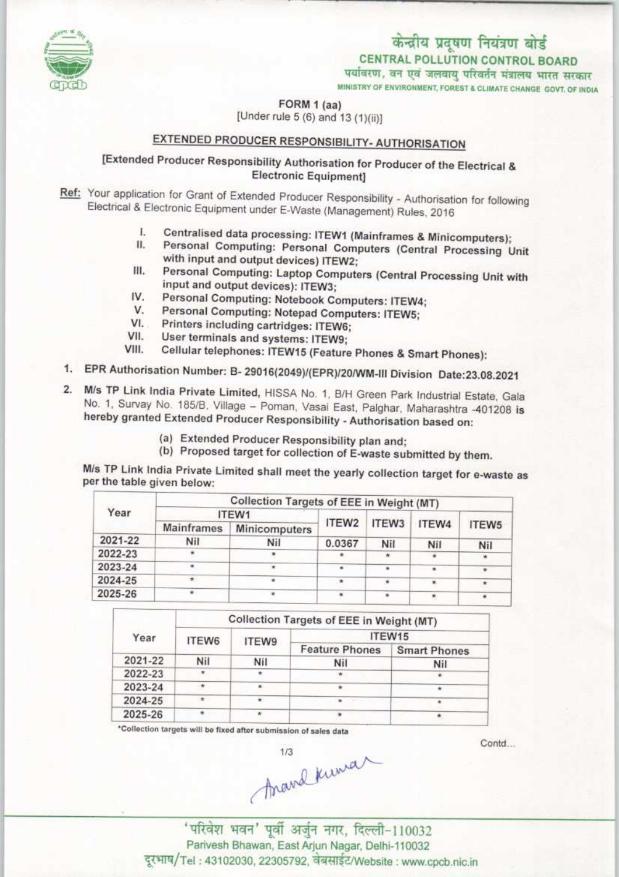# केन्द्रीय प्रदूषण नियंत्रण बोर्ड CENTRAL POLLUTION CONTROL BOARD<br>पर्यावरण, वन एवं जलवायु परिवर्तन मंत्रालय भारत सरकार

MINISTRY OF ENVIRONMENT, FOREST & CLIMATE CHANGE GOVT, OF INDIA



FORM 1 (aa)

[Under rule 5 (6) and 13 (1)(ii)]

# EXTENDED PRODUCER RESPONSIBILITY- AUTHORISATION

## [Extended Producer Responsibility Authorisation for Producer of the Electrical & Electronic Equipment]

- Ref: Your application for Grant of Extended Producer Responsibility Authorisation for following Electrical & Electronic Equipment under E-Waste (Management) Rules, 2016
	- I. Centralised data processing: ITEW1 (Mainframes & Minicomputers);<br>II. Personal Computing: Personal Computers (Central Despite)
	- Personal Computing: Personal Computers (Central Processing Unit with input and output devices) ITEW2;
	- III. Personal Computing: Laptop Computers (Central Processing Unit with input and output devices): ITEW3;
	- IV. Personal Computing: Notebook Computers: ITEW4;<br>V. Personal Computing: Notepod Computers: ITEW5
	- V. Personal Computing: Notepad Computers: ITEW5;<br>VI. Printers including cartridges: ITEWS:
	- Printers including cartridges: ITEW6;
	- VII. User terminals and systems: ITEW9;<br>VIII. Cellular telephones: ITEW15 (Foature
	- Cellular telephones: ITEW15 (Feature Phones & Smart Phones):
- 1. EPR Authorisation Number: B- 29016(2049)/(EPR)/20/WM-III Division Date:23.08.2021
- 2. M/s TP Link India Private Limited, HISSA No. 1, B/H Green Park Industrial Estate, Gala No. 1, Survay No. 185/B, Village - Poman, Vasai East, Palghar, Maharashtra -401208 is hereby granted Extended Producer Responsibility - Authorisation based on:
	- (a) Extended Producer Responsibility plan and;
	- (b) Proposed target for collection of E-waste submitted by them.

ndia Private Limited shall meet the yearly collection target for e-waste ula Piliv<br>İven bel

| Year    | Collection Targets of EEE in Weight (MT) |                      |                   |       |       |           |  |  |
|---------|------------------------------------------|----------------------|-------------------|-------|-------|-----------|--|--|
|         | ITEW1                                    |                      |                   |       |       |           |  |  |
|         | <b>Mainframes</b>                        | <b>Minicomputers</b> | ITEW <sub>2</sub> | ITEW3 | ITEW4 | ITEW5     |  |  |
| 2021-22 | Nil                                      | Nil                  | 0.0367            | Nil   | Nil   | Nil       |  |  |
| 2022-23 |                                          |                      |                   |       |       |           |  |  |
| 2023-24 |                                          |                      | ٠                 |       |       | $\bullet$ |  |  |
| 2024-25 | $+$                                      | ÷                    | ۰                 |       |       | $\star$   |  |  |
| 2025-26 |                                          |                      |                   |       |       |           |  |  |

| Year    | Collection Targets of EEE in Weight (MT) |       |                       |                     |  |  |
|---------|------------------------------------------|-------|-----------------------|---------------------|--|--|
|         | ITEW6                                    | ITEW9 | ITEW15                |                     |  |  |
|         |                                          |       | <b>Feature Phones</b> | <b>Smart Phones</b> |  |  |
| 2021-22 | Nil                                      | Nil   | Nil                   | Nil                 |  |  |
| 2022-23 |                                          |       |                       |                     |  |  |
| 2023-24 | $\pi$                                    |       |                       |                     |  |  |
| 2024-25 | ٠                                        |       | ٠                     |                     |  |  |
| 2025-26 |                                          |       |                       |                     |  |  |

\*Collection targets will be fixed after submission of sales data

 $A$ mand Kuma

Contd...

Parivesh Bhawan, East Arjun Nagar, Delhi-110032<br>Tel: 43102030, 22305792, वेबसाईट/Website: www.cpcb.nic.in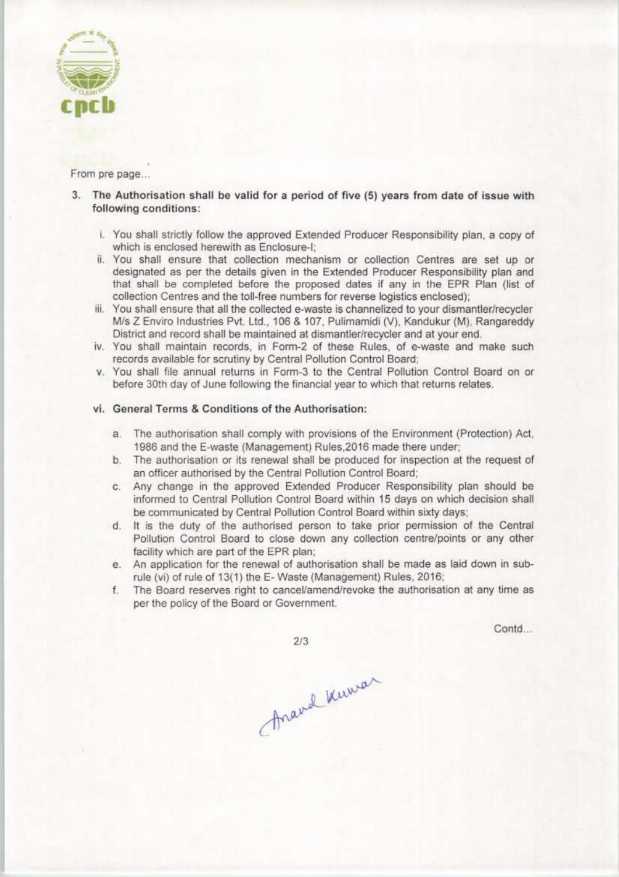

From pre page...

- 3. The Authorisation shall be valid for a period of five (5) years from date of issue with following conditions:
	- i. You shall strictly follow the approved Extended Producer Responsibility plan, a copy of which is enclosed herewith as Enclosure-I;
	- ii. You shall ensure that collection mechanism or collection Centres are set up or designated as per the details given in the Extended Producer Responsibility plan and that shall be completed before the proposed dates if any in the EPR Plan {list of collection Centres and the toll-free numbers for reverse logistics enclosed);
	- iii. You shall ensure that all the collected e-waste is channelized to your dismantler/recycler M/s Z Enviro Industries Pvt. Ltd., 106 & 107, Pulimamidi (V), Kandukur (M), Rangareddy District and record shall be maintained at dismantler/recycler and at your end.
	- iv. You shall maintain records, in Form-2 of these Rules, of e-waste and make such records available for scrutiny by Central Pollution Control Board;
	- v. You shall file annual returns in Form-3 to the Central Pollution Control Board on or before 30th day of June following the financial year to which that returns relates.

#### vi. General Terms & Conditions of the Authorisation:

- a.The authorisation shall comply with provisions of the Environment (Protection) Act, 1986 and the E-waste (Management) Rules,2016 made there under;
- b. The authorisation or its renewal shall be produced for inspection at the request of an officer authorised by the Central Pollution Control Board;
- c. Any change in the approved Extended Producer Responsibility plan should be informed to Central Pollution Control Board within 15 days on which decision shall be communicated by Central Pollution Control Board within sixty days;
- d. It is the duty of the authorised person to take prior permission of the Central Pollution Control Board to close down any collection centre/points or any other facility which are part of the EPR plan;
- e. An application for the renewal of authorisation shall be made as laid down in subrule (vi) of rule of 13(1) the E- Waste (Management) Rules, 2016;
- f.The Board reserves right to cancel/amend/revoke die authorisation at any time as per the policy of the Board or Government.

Contd...

Ananal Kuman

 $2/3$